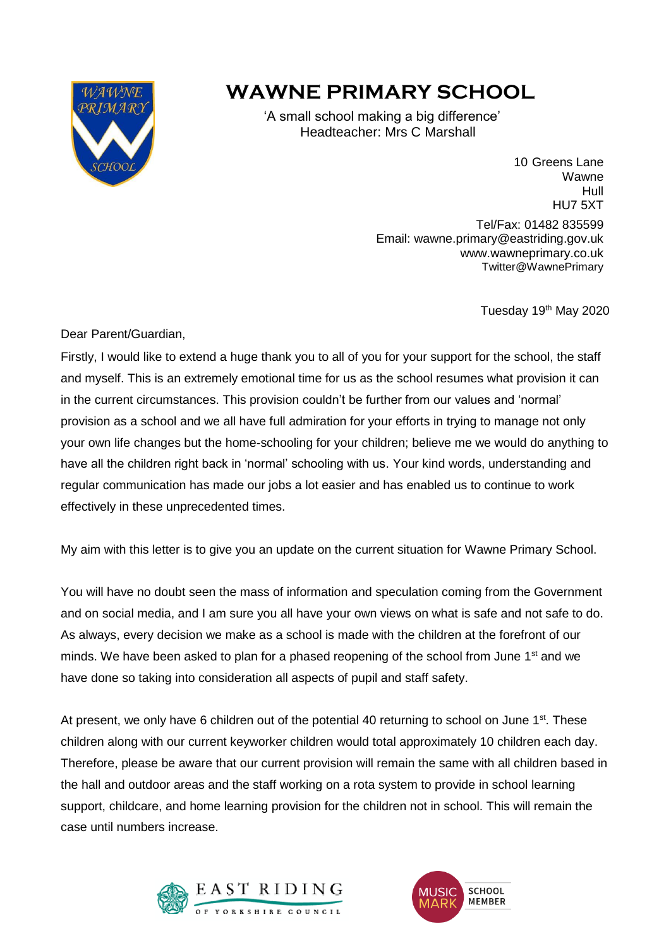

## **WAWNE PRIMARY SCHOOL**

 'A small school making a big difference' **Headteacher: Mrs C Marshall** 

> 10 Greens Lane Wawne Hull HU7 5XT Tel/Fax: 01482 835599 Email: wawne.primary@eastriding.gov.uk www.wawneprimary.co.uk Twitter@WawnePrimary

> > Tuesday 19<sup>th</sup> May 2020

Dear Parent/Guardian,

Firstly, I would like to extend a huge thank you to all of you for your support for the school, the staff and myself. This is an extremely emotional time for us as the school resumes what provision it can in the current circumstances. This provision couldn't be further from our values and 'normal' provision as a school and we all have full admiration for your efforts in trying to manage not only your own life changes but the home-schooling for your children; believe me we would do anything to have all the children right back in 'normal' schooling with us. Your kind words, understanding and regular communication has made our jobs a lot easier and has enabled us to continue to work effectively in these unprecedented times.

My aim with this letter is to give you an update on the current situation for Wawne Primary School.

You will have no doubt seen the mass of information and speculation coming from the Government and on social media, and I am sure you all have your own views on what is safe and not safe to do. As always, every decision we make as a school is made with the children at the forefront of our minds. We have been asked to plan for a phased reopening of the school from June  $1<sup>st</sup>$  and we have done so taking into consideration all aspects of pupil and staff safety.

At present, we only have 6 children out of the potential 40 returning to school on June  $1<sup>st</sup>$ . These children along with our current keyworker children would total approximately 10 children each day. Therefore, please be aware that our current provision will remain the same with all children based in the hall and outdoor areas and the staff working on a rota system to provide in school learning support, childcare, and home learning provision for the children not in school. This will remain the case until numbers increase.



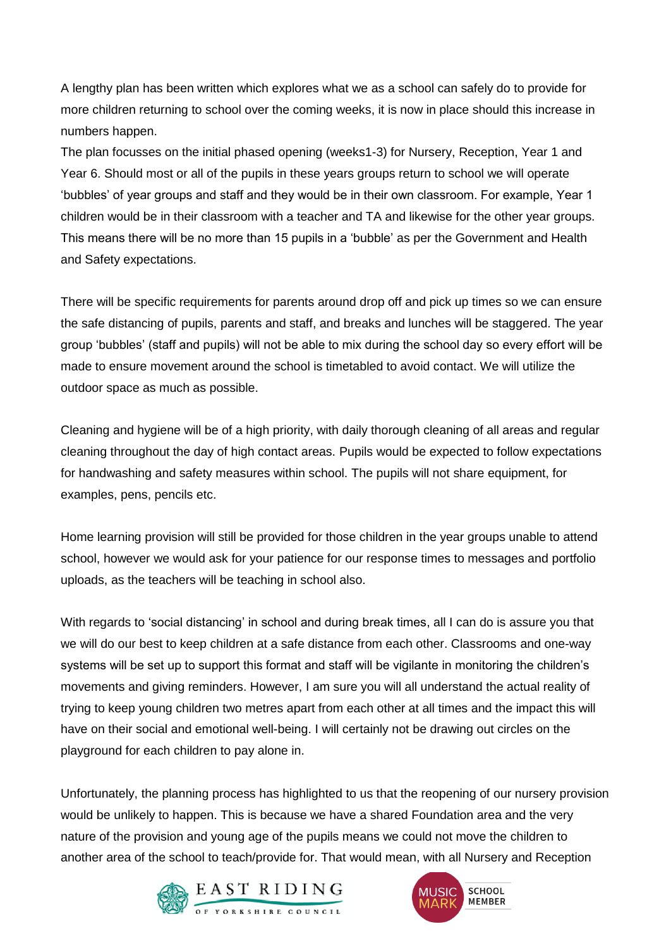A lengthy plan has been written which explores what we as a school can safely do to provide for more children returning to school over the coming weeks, it is now in place should this increase in numbers happen.

The plan focusses on the initial phased opening (weeks1-3) for Nursery, Reception, Year 1 and Year 6. Should most or all of the pupils in these years groups return to school we will operate 'bubbles' of year groups and staff and they would be in their own classroom. For example, Year 1 children would be in their classroom with a teacher and TA and likewise for the other year groups. This means there will be no more than 15 pupils in a 'bubble' as per the Government and Health and Safety expectations.

There will be specific requirements for parents around drop off and pick up times so we can ensure the safe distancing of pupils, parents and staff, and breaks and lunches will be staggered. The year group 'bubbles' (staff and pupils) will not be able to mix during the school day so every effort will be made to ensure movement around the school is timetabled to avoid contact. We will utilize the outdoor space as much as possible.

Cleaning and hygiene will be of a high priority, with daily thorough cleaning of all areas and regular cleaning throughout the day of high contact areas. Pupils would be expected to follow expectations for handwashing and safety measures within school. The pupils will not share equipment, for examples, pens, pencils etc.

Home learning provision will still be provided for those children in the year groups unable to attend school, however we would ask for your patience for our response times to messages and portfolio uploads, as the teachers will be teaching in school also.

With regards to 'social distancing' in school and during break times, all I can do is assure you that we will do our best to keep children at a safe distance from each other. Classrooms and one-way systems will be set up to support this format and staff will be vigilante in monitoring the children's movements and giving reminders. However, I am sure you will all understand the actual reality of trying to keep young children two metres apart from each other at all times and the impact this will have on their social and emotional well-being. I will certainly not be drawing out circles on the playground for each children to pay alone in.

Unfortunately, the planning process has highlighted to us that the reopening of our nursery provision would be unlikely to happen. This is because we have a shared Foundation area and the very nature of the provision and young age of the pupils means we could not move the children to another area of the school to teach/provide for. That would mean, with all Nursery and Reception